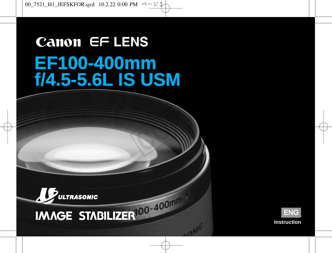# **Canon EF LENS EF100-400mm f/4.5-5.6L IS USM**

**COPY** 





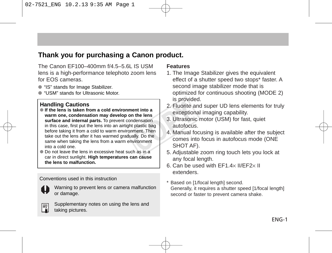#### **Thank you for purchasing a Canon product.**

The Canon EF100–400mm f/4.5–5.6L IS USM lens is a high-performance telephoto zoom lens for EOS cameras.

- "IS" stands for Image Stabilizer
- "USM" stands for Ultrasonic Motor

#### **Handling Cautions**

- **If the lens is taken from a cold environment into a warm one, condensation may develop on the lens surface and internal parts.** To prevent condensation in this case, first put the lens into an airtight plastic bag before taking it from a cold to warm environment. Then take out the lens after it has warmed gradually. Do the same when taking the lens from a warm environment into a cold one. nent into a<br>
note here a<br>
nodensation<br>
modensation<br>
met Then<br>
mally. Do the<br>
note a<br>
note a<br>
note a<br>
modes interesting<br>
to the comes interesting<br>
CHOT AF<br>
chas in a<br>
5. Adjustable
- Do not leave the lens in excessive heat such as in a car in direct sunlight. **High temperatures can cause the lens to malfunction.**

#### Conventions used in this instruction



Warning to prevent lens or camera malfunction or damage.



Supplementary notes on using the lens and taking pictures.

#### **Features**

- 1. The Image Stabilizer gives the equivalent effect of a shutter speed two stops\* faster. A second image stabilizer mode that is optimized for continuous shooting (MODE 2) is provided.
- 2. Fluorite and super UD lens elements for truly exceptional imaging capability.
- 3. Ultrasonic motor (USM) for fast, quiet autofocus.
- 4. Manual focusing is available after the subject comes into focus in autofocus mode (ONE SHOT AF).
- 5. Adjustable zoom ring touch lets you lock at any focal length.
- 6. Can be used with EF1.4× II/EF2× II extenders.
- \* Based on [1/focal length] second. Generally, it requires a shutter speed [1/focal length] second or faster to prevent camera shake.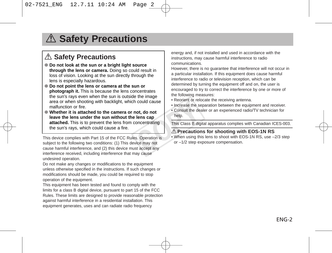### A Safety Precautions

#### A Safety Precautions

- **Do not look at the sun or a bright light source through the lens or camera.** Doing so could result in loss of vision. Looking at the sun directly through the lens is especially hazardous.
- **Do not point the lens or camera at the sun or photograph it.** This is because the lens concentrates the sun's rays even when the sun is outside the image area or when shooting with backlight, which could cause malfunction or fire.
- **Whether it is attached to the camera or not, do not leave the lens under the sun without the lens cap attached.** This is to prevent the lens from concentrating the sun's rays, which could cause a fire. COPY

This device complies with Part 15 of the FCC Rules. Operation is subject to the following two conditions: (1) This device may not cause harmful interference, and (2) this device must accept any interference received, including interference that may cause undesired operation.

Do not make any changes or modifications to the equipment unless otherwise specified in the instructions. If such changes or modifications should be made, you could be required to stop operation of the equipment.

This equipment has been tested and found to comply with the limits for a class B digital device, pursuant to part 15 of the FCC Rules. These limits are designed to provide reasonable protection against harmful interference in a residential installation. This equipment generates, uses and can radiate radio frequency

energy and, if not installed and used in accordance with the instructions, may cause harmful interference to radio communications.

However, there is no guarantee that interference will not occur in a particular installation. If this equipment does cause harmful interference to radio or television reception, which can be determined by turning the equipment off and on, the user is encouraged to try to correct the interference by one or more of the following measures:

- Reorient or relocate the receiving antenna.
- Increase the separation between the equipment and receiver.
- Consult the dealer or an experienced radio/TV technician for help.

This Class B digital apparatus complies with Canadian ICES-003.

#### $A$  Precautions for shooting with EOS-1N RS

• When using this lens to shoot with EOS-1N RS, use –2/3 step or –1/2 step exposure compensation.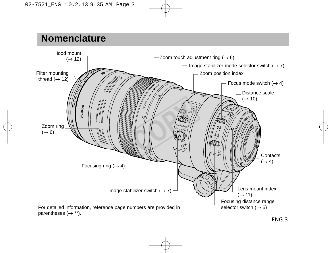### **Nomenclature**

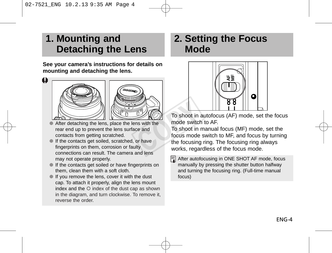### **1. Mounting and Detaching the Lens**

**See your camera's instructions for details on mounting and detaching the lens.**

#### $\mathbf u$





- After detaching the lens, place the lens with the rear end up to prevent the lens surface and contacts from getting scratched.
- If the contacts get soiled, scratched, or have fingerprints on them, corrosion or faulty connections can result. The camera and lens may not operate properly.
- If the contacts get soiled or have fingerprints on them, clean them with a soft cloth.
- If you remove the lens, cover it with the dust cap. To attach it properly, align the lens mount index and the  $\circ$  index of the dust cap as shown in the diagram, and turn clockwise. To remove it, reverse the order.

### **2. Setting the Focus Mode**



To shoot in autofocus (AF) mode, set the focus mode switch to AF.

To shoot in manual focus (MF) mode, set the focus mode switch to MF, and focus by turning the focusing ring. The focusing ring always works, regardless of the focus mode. To shoot in<br>
To shoot in<br>
Ins with the<br>
mode switch<br>
or have<br>
or have<br>
the focusing<br>
works, rega

> After autofocusing in ONE SHOT AF mode, focus manually by pressing the shutter button halfway and turning the focusing ring. (Full-time manual focus)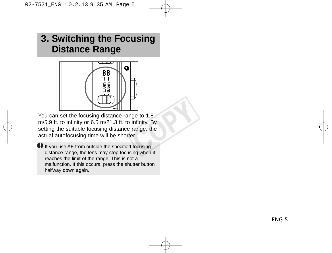### **3. Switching the Focusing Distance Range**



You can set the focusing distance range to 1.8 m/5.9 ft. to infinity or 6.5 m/21.3 ft. to infinity. By setting the suitable focusing distance range, the actual autofocusing time will be shorter. ge to 1.8<br>
infinity. By<br>
range, the<br>
er.<br>
d focusing<br>
sing when it

If you use AF from outside the specified focusing distance range, the lens may stop focusing when it reaches the limit of the range. This is not a malfunction. If this occurs, press the shutter button. halfway down again.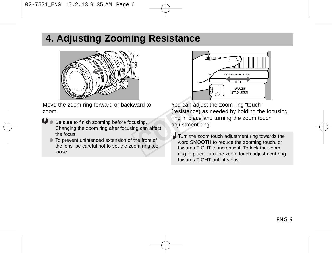### **4. Adjusting Zooming Resistance**



Move the zoom ring forward or backward to zoom.

- **4** Be sure to finish zooming before focusing. adjustment ring. Changing the zoom ring after focusing can affect the focus.
	- To prevent unintended extension of the front of the lens, be careful not to set the zoom ring too loose.



You can adjust the zoom ring "touch" (resistance) as needed by holding the focusing ring in place and turning the zoom touch ward to<br>
(resistance)<br>
ing in place<br>
ing in place<br>
adjustment<br>
adjustment<br>
adjustment<br>
and place<br>
methe front of<br>
Turn the z<br>
word SMC<br>
towards TI<br>
time in a lower<br>
time in a lower

 $\boxed{7}$  Turn the zoom touch adjustment ring towards the word SMOOTH to reduce the zooming touch, or towards TIGHT to increase it. To lock the zoom ring in place, turn the zoom touch adjustment ring towards TIGHT until it stops.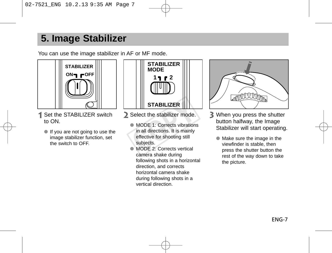### **5. Image Stabilizer**

You can use the image stabilizer in AF or MF mode.



- 1 Set the STABILIZER switch to ON.
	- If you are not going to use the image stabilizer function, set the switch to OFF.



- Select the stabilizer mode.
- MODE 1: Corrects vibrations in all directions. It is mainly effective for shooting still subjects. STABILIZER<br>
Select the stabilizer mode.<br>
• MODE 1: Corrects vibration<br>
in all directions. It is mainly<br>
effective for shooting still<br>
subjects.<br>
• MODE 2: Corrects vertical
	- MODE 2: Corrects vertical camera shake during following shots in a horizontal direction, and corrects. horizontal camera shake during following shots in a vertical direction.



- When you press the shutter button halfway, the Image Stabilizer will start operating.
	- Make sure the image in the viewfinder is stable, then press the shutter button the rest of the way down to take the picture.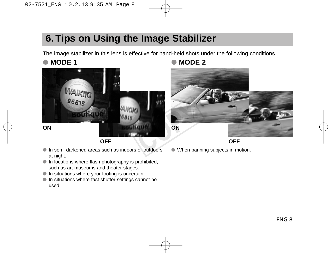### **6. Tips on Using the Image Stabilizer**

The image stabilizer in this lens is effective for hand-held shots under the following conditions.



**OFF**

- In semi-darkened areas such as indoors or outdoors at night.
- In locations where flash photography is prohibited. such as art museums and theater stages.
- In situations where your footing is uncertain.
- In situations where fast shutter settings cannot be used.

#### ● **MODE 1** ● **MODE 2**



**OFF**

● When panning subjects in motion.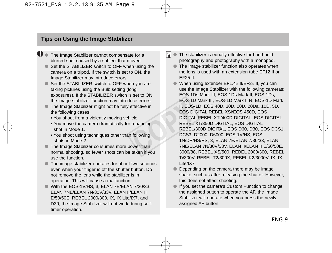**O** The Image Stabilizer cannot compensate for a blurred shot caused by a subject that moved.

- Set the STABILIZER switch to OFF when using the camera on a tripod. If the switch is set to ON, the Image Stabilizer may introduce errors.
- Set the STABILIZER switch to OFF when you are taking pictures using the Bulb setting (long exposures). If the STABILIZER switch is set to ON the image stabilizer function may introduce errors.
- The Image Stabilizer might not be fully effective in the following cases:
	- You shoot from a violently moving vehicle.
	- You move the camera dramatically for a panning shot in Mode 1.
	- You shoot using techniques other than following shots in Mode 2.
- The Image Stabilizer consumes more power than normal shooting, so fewer shots can be taken if you use the function.
- The image stabilizer operates for about two seconds even when your finger is off the shutter button. Do not remove the lens while the stabilizer is in operation. This will cause a malfunction.
- $\bullet$  With the FOS-1V/HS, 3, FLAN 7F/FLAN 7/30/33 ELAN 7NE/ELAN 7N/30V/33V, ELAN II/ELAN II E/50/50E, REBEL 2000/300, IX, IX Lite/IX7, and D30, the Image Stabilizer will not work during selftimer operation.
- $|\overline{3}|$  The stabilizer is equally effective for hand-held photography and photography with a monopod.
	- The image stabilizer function also operates when the lens is used with an extension tube EF12 II or EF25 II.
- When using extender EF1.4× II/EF2× II, you can use the Image Stabilizer with the following cameras: EOS-1Ds Mark III, EOS-1Ds Mark II, EOS-1Ds, EOS-1D Mark III, EOS-1D Mark II N, EOS-1D Mark II, EOS-1D, EOS 40D, 30D, 20D, 20Da, 10D, 5D, EOS DIGITAL REBEL XSi/EOS 450D, EOS DIGITAL REBEL XTi/400D DIGITAL, EOS DIGITAL REBEL XT/350D DIGITAL, EOS DIGITAL REBEL/300D DIGITAL, EOS D60, D30, EOS DCS1, DCS3, D2000, D6000, EOS-1V/HS, EOS-1N/DP/HS/RS, 3, ELAN 7E/ELAN 7/30/33, ELAN 7NE/ELAN 7N/30V/33V, ELAN II/ELAN II E/50/50E, 3000/88, REBEL XS/500, REBEL 2000/300, REBEL Ti/300V, REBEL T2/300X, REBEL K2/3000V, IX, IX Lite/IX7 Example are errors.<br>
effective in the U, EOS-<br>
incle. II, EOS-<br>
EOS DIGITAL<br>
The DIGITAL<br>
TO REBEL!<br>
REBEL!<br>
REBEL!<br>
REBEL!<br>
NIVIDP/<br>
TO TOCS3, I<br>
TO TOCS3, I<br>
TO TOCS3, I<br>
TO TOCS3, I<br>
TO TOCS3, I<br>
TO TOCS3, I<br>
TO TOCS3,
	- Depending on the camera there may be image shake, such as after releasing the shutter. However, this does not affect shooting.
	- If you set the camera's Custom Function to change the assigned button to operate the AF, the Image Stabilizer will operate when you press the newly assigned AF button.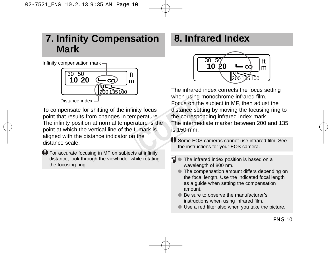### **7. Infinity Compensation Mark**

Infinity compensation mark



To compensate for shifting of the infinity focus point that results from changes in temperature. The infinity position at normal temperature is the point at which the vertical line of the L mark is aligned with the distance indicator on the distance scale. Focus on the distance set<br>nperature. the correspondence is the The intermediative is the U Some EOS<br>the instruction of the instruction of the instruction of the instruction of the instruction of the instruction of the inst

For accurate focusing in MF on subjects at infinity distance, look through the viewfinder while rotating the focusing ring.

### **8. Infrared Index**



The infrared index corrects the focus setting when using monochrome infrared film. Focus on the subject in MF, then adjust the distance setting by moving the focusing ring to the corresponding infrared index mark. The intermediate marker between 200 and 135 is 150 mm.

- Some EOS cameras cannot use infrared film. See the instructions for your EOS camera.
- 围 The infrared index position is based on a wavelength of 800 nm.
	- The compensation amount differs depending on the focal length. Use the indicated focal length as a guide when setting the compensation amount.
	- Be sure to observe the manufacturer's instructions when using infrared film.
	- Use a red filter also when you take the picture.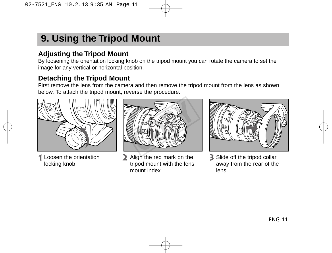### **9. Using the Tripod Mount**

### **Adjusting the Tripod Mount**

By loosening the orientation locking knob on the tripod mount you can rotate the camera to set the image for any vertical or horizontal position.

#### **Detaching the Tripod Mount**

First remove the lens from the camera and then remove the tripod mount from the lens as shown below. To attach the tripod mount, reverse the procedure.



Loosen the orientation locking knob.



Align the red mark on the tripod mount with the lens mount index.



Slide off the tripod collar away from the rear of the lens.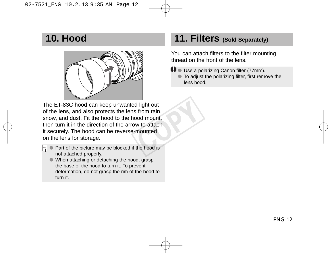### **10. Hood**



The ET-83C hood can keep unwanted light out of the lens, and also protects the lens from rain, snow, and dust. Fit the hood to the hood mount, then turn it in the direction of the arrow to attach it securely. The hood can be reverse-mounted on the lens for storage. d light out<br>s from rain,<br>ood mount,<br>w to attach<br>-mounted<br>the hood is

- l司.
- Part of the picture may be blocked if the hood is not attached properly.
	- When attaching or detaching the hood, grasp the base of the hood to turn it. To prevent deformation, do not grasp the rim of the hood to turn it.

### **11. Filters (Sold Separately)**

You can attach filters to the filter mounting thread on the front of the lens.

- **♦** Use a polarizing Canon filter (77mm).
	- To adjust the polarizing filter, first remove the lens hood.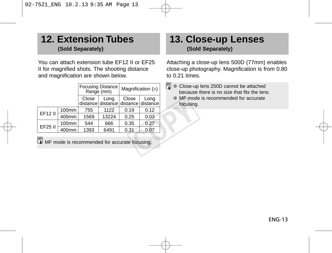### **12. Extension Tubes (Sold Separately)**

You can attach extension tube EF12 II or EF25 II for magnified shots. The shooting distance and magnification are shown below.

|                                               |       | <b>Focusing Distance</b><br>Range (mm) |       | Magnification $(x)$                          |      | R<br>Close-u<br>becaus |
|-----------------------------------------------|-------|----------------------------------------|-------|----------------------------------------------|------|------------------------|
|                                               |       | Close                                  | Long  | Close<br>distance distance distance distance | Long | MF mor<br>focusine     |
| EF12 II                                       | 100mm | 755                                    | 1122  | 0.19                                         | 0.12 |                        |
|                                               | 400mm | 1569                                   | 13224 | 0.25                                         | 0.03 |                        |
| EF25 II                                       | 100mm | 544                                    | 666   | 0.35                                         | 0.27 |                        |
|                                               | 400mm | 1393                                   | 6491  | 0.31                                         | 0.07 |                        |
| MF mode is recommended for accurate focusing. |       |                                        |       |                                              |      |                        |

### **13. Close-up Lenses (Sold Separately)**

Attaching a close-up lens 500D (77mm) enables close-up photography. Magnification is from 0.80 to 0.21 times.

- $\boxed{5}$   $\bullet$  Close-up lens 250D cannot be attached because there is no size that fits the lens.
	- MF mode is recommended for accurate focusing.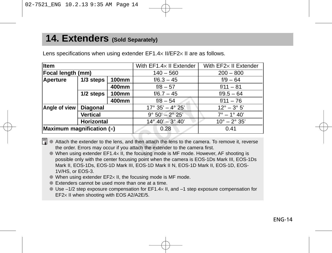### **14. Extenders (Sold Separately)**

| <b>Item</b>                 |                   |       | With $EF1.4\times$ II Extender                                                                                                                                                                                                                                       | With EF2× II Extender        |
|-----------------------------|-------------------|-------|----------------------------------------------------------------------------------------------------------------------------------------------------------------------------------------------------------------------------------------------------------------------|------------------------------|
| Focal length (mm)           |                   |       | $140 - 560$                                                                                                                                                                                                                                                          | $200 - 800$                  |
| Aperture                    | 1/3 steps         | 100mm | $f/6.3 - 45$                                                                                                                                                                                                                                                         | $f/9 - 64$                   |
|                             |                   | 400mm | $f/8 - 57$                                                                                                                                                                                                                                                           | $f/11 - 81$                  |
|                             | 1/2 steps         | 100mm | $f/6.7 - 45$                                                                                                                                                                                                                                                         | $f/9.5 - 64$                 |
|                             |                   | 400mm | $f/8 - 54$                                                                                                                                                                                                                                                           | $f/11 - 76$                  |
| Angle of view               | <b>Diagonal</b>   |       | $17^{\circ}$ 35' - 4° 25'                                                                                                                                                                                                                                            | $12^{\circ} - 3^{\circ} 5'$  |
|                             | Vertical          |       | $9^{\circ} 50' - 2^{\circ} 25'$                                                                                                                                                                                                                                      | $7^{\circ} - 1^{\circ} 40'$  |
|                             | <b>Horizontal</b> |       | $14^{\circ} 40' - 3^{\circ} 40'$                                                                                                                                                                                                                                     | $10^{\circ} - 2^{\circ} 35'$ |
| Maximum magnification $(x)$ |                   |       | 0.28                                                                                                                                                                                                                                                                 | 0.41                         |
| R.                          |                   |       | Attach the extender to the lens, and then attach the lens to the camera. To remove it, reverse<br>the order. Errors may occur if you attach the extender to the camera first.<br>When using oxtonder EE1 4y IL the fecusing mode is ME mode. However, AE shooting is |                              |

Lens specifications when using extender EF1.4× II/EF2× II are as follows.

- $\bullet$  When using extender EF1.4 $\times$  II, the focusing mode is MF mode. However, AF shooting is possible only with the center focusing point when the camera is EOS-1Ds Mark III, EOS-1Ds Mark II, EOS-1Ds, EOS-1D Mark III, EOS-1D Mark II N, EOS-1D Mark II, EOS-1D, EOS-1V/HS, or EOS-3.
- $\bullet$  When using extender EF2 $\times$  II, the focusing mode is MF mode.
- Extenders cannot be used more than one at a time.
- $\bullet$  Use –1/2 step exposure compensation for EF1.4 $\times$  II, and –1 step exposure compensation for EF2× II when shooting with EOS A2/A2E/5.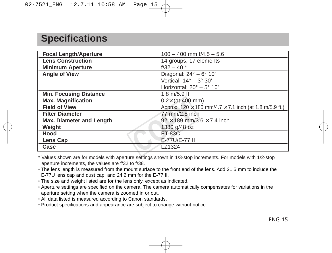### **Specifications**

| <b>Focal Length/Aperture</b>    | $100 - 400$ mm $\frac{1}{4.5} - 5.6$                                 |  |  |
|---------------------------------|----------------------------------------------------------------------|--|--|
| <b>Lens Construction</b>        | 14 groups, 17 elements                                               |  |  |
| <b>Minimum Aperture</b>         | $f/32 - 40$ *                                                        |  |  |
| Angle of View                   | Diagonal: $24^\circ - 6^\circ 10'$                                   |  |  |
|                                 | Vertical: $14^\circ - 3^\circ 30'$                                   |  |  |
|                                 | Horizontal: $20^\circ - 5^\circ 10'$                                 |  |  |
| <b>Min. Focusing Distance</b>   | 1.8 m/5.9 ft.                                                        |  |  |
| <b>Max. Magnification</b>       | $0.2 \times$ (at 400 mm)                                             |  |  |
| <b>Field of View</b>            | Approx. 120 $\times$ 180 mm/4.7 $\times$ 7.1 inch (at 1.8 m/5.9 ft.) |  |  |
| <b>Filter Diameter</b>          | 77 mm/2.8 inch                                                       |  |  |
| <b>Max. Diameter and Length</b> | $92 \times 189$ mm/3.6 $\times$ 7.4 inch                             |  |  |
| Weight                          | 1380 g/48 oz                                                         |  |  |
| Hood                            | <b>ET-83C</b>                                                        |  |  |
| Lens Cap                        | E-77U/E-77 II                                                        |  |  |
| Case                            | LZ1324                                                               |  |  |

\* Values shown are for models with aperture settings shown in 1/3-stop increments. For models with 1/2-stop aperture increments, the values are f/32 to f/38.

- The lens length is measured from the mount surface to the front end of the lens. Add 21.5 mm to include the E-77U lens cap and dust cap, and 24.2 mm for the E-77 II.
- The size and weight listed are for the lens only, except as indicated.
- Aperture settings are specified on the camera. The camera automatically compensates for variations in the aperture setting when the camera is zoomed in or out.
- All data listed is measured according to Canon standards.
- Product specifications and appearance are subject to change without notice.